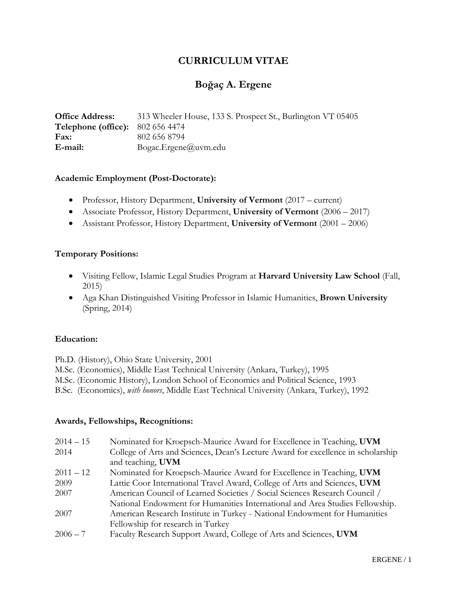# **CURRICULUM VITAE**

# **Boğaç A. Ergene**

**Office Address:** 313 Wheeler House, 133 S. Prospect St., Burlington VT 05405 **Telephone (office):** 802 656 4474 **Fax:** 802 656 8794 **E-mail:** Bogac.Ergene@uvm.edu

#### **Academic Employment (Post-Doctorate):**

- Professor, History Department, **University of Vermont** (2017 current)
- Associate Professor, History Department, **University of Vermont** (2006 2017)
- Assistant Professor, History Department, **University of Vermont** (2001 2006)

#### **Temporary Positions:**

- Visiting Fellow, Islamic Legal Studies Program at **Harvard University Law School** (Fall, 2015)
- Aga Khan Distinguished Visiting Professor in Islamic Humanities, **Brown University** (Spring, 2014)

#### **Education:**

Ph.D. (History), Ohio State University, 2001

- M.Sc. (Economics), Middle East Technical University (Ankara, Turkey), 1995
- M.Sc. (Economic History), London School of Economics and Political Science, 1993
- B.Sc. (Economics), *with honors*, Middle East Technical University (Ankara, Turkey), 1992

#### **Awards, Fellowships, Recognitions:**

| $2014 - 15$ | Nominated for Kroepsch-Maurice Award for Excellence in Teaching, UVM             |
|-------------|----------------------------------------------------------------------------------|
| 2014        | College of Arts and Sciences, Dean's Lecture Award for excellence in scholarship |
|             | and teaching, UVM                                                                |
| $2011 - 12$ | Nominated for Kroepsch-Maurice Award for Excellence in Teaching, UVM             |
| 2009        | Lattie Coor International Travel Award, College of Arts and Sciences, UVM        |
| 2007        | American Council of Learned Societies / Social Sciences Research Council /       |
|             | National Endowment for Humanities International and Area Studies Fellowship.     |
| 2007        | American Research Institute in Turkey - National Endowment for Humanities        |
|             | Fellowship for research in Turkey                                                |
| $2006 - 7$  | Faculty Research Support Award, College of Arts and Sciences, UVM                |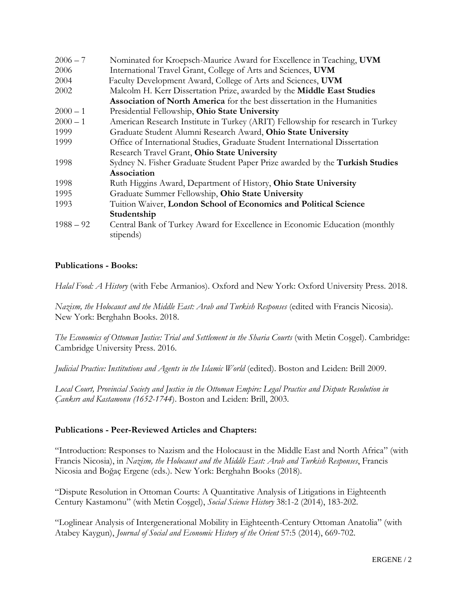| $2006 - 7$  | Nominated for Kroepsch-Maurice Award for Excellence in Teaching, UVM            |
|-------------|---------------------------------------------------------------------------------|
| 2006        | International Travel Grant, College of Arts and Sciences, UVM                   |
| 2004        | Faculty Development Award, College of Arts and Sciences, UVM                    |
| 2002        | Malcolm H. Kerr Dissertation Prize, awarded by the Middle East Studies          |
|             | <b>Association of North America</b> for the best dissertation in the Humanities |
| $2000 - 1$  | Presidential Fellowship, Ohio State University                                  |
| $2000 - 1$  | American Research Institute in Turkey (ARIT) Fellowship for research in Turkey  |
| 1999        | Graduate Student Alumni Research Award, Ohio State University                   |
| 1999        | Office of International Studies, Graduate Student International Dissertation    |
|             | Research Travel Grant, Ohio State University                                    |
| 1998        | Sydney N. Fisher Graduate Student Paper Prize awarded by the Turkish Studies    |
|             | Association                                                                     |
| 1998        | Ruth Higgins Award, Department of History, Ohio State University                |
| 1995        | Graduate Summer Fellowship, Ohio State University                               |
| 1993        | Tuition Waiver, London School of Economics and Political Science                |
|             | Studentship                                                                     |
| $1988 - 92$ | Central Bank of Turkey Award for Excellence in Economic Education (monthly      |
|             | stipends)                                                                       |

## **Publications - Books:**

*Halal Food: A History* (with Febe Armanios). Oxford and New York: Oxford University Press. 2018.

*Nazism, the Holocaust and the Middle East: Arab and Turkish Responses* (edited with Francis Nicosia). New York: Berghahn Books. 2018.

*The Economics of Ottoman Justice: Trial and Settlement in the Sharia Courts* (with Metin Coşgel). Cambridge: Cambridge University Press. 2016.

*Judicial Practice: Institutions and Agents in the Islamic World* (edited). Boston and Leiden: Brill 2009.

*Local Court, Provincial Society and Justice in the Ottoman Empire: Legal Practice and Dispute Resolution in Çankırı and Kastamonu (1652-1744*). Boston and Leiden: Brill, 2003.

## **Publications - Peer-Reviewed Articles and Chapters:**

"Introduction: Responses to Nazism and the Holocaust in the Middle East and North Africa" (with Francis Nicosia), in *Nazism, the Holocaust and the Middle East: Arab and Turkish Responses*, Francis Nicosia and Boğaç Ergene (eds.). New York: Berghahn Books (2018).

"Dispute Resolution in Ottoman Courts: A Quantitative Analysis of Litigations in Eighteenth Century Kastamonu" (with Metin Coşgel), *Social Science History* 38:1-2 (2014), 183-202.

"Loglinear Analysis of Intergenerational Mobility in Eighteenth-Century Ottoman Anatolia" (with Atabey Kaygun), *Journal of Social and Economic History of the Orient* 57:5 (2014), 669-702.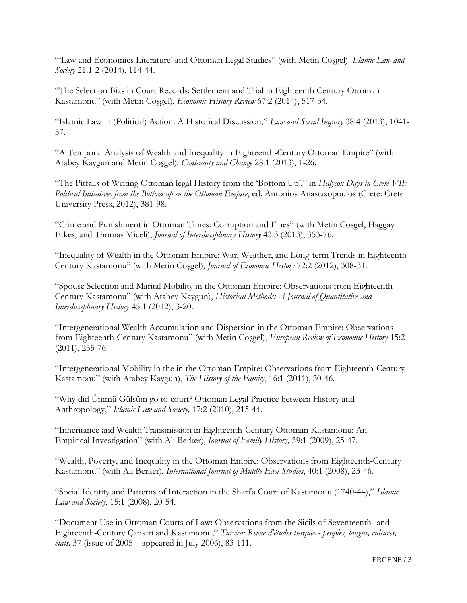"'Law and Economics Literature' and Ottoman Legal Studies" (with Metin Coşgel). *Islamic Law and Society* 21:1-2 (2014), 114-44.

"The Selection Bias in Court Records: Settlement and Trial in Eighteenth Century Ottoman Kastamonu" (with Metin Coşgel), *Economic History Review* 67:2 (2014), 517-34.

"Islamic Law in (Political) Action: A Historical Discussion," *Law and Social Inquiry* 38:4 (2013), 1041- 57.

"A Temporal Analysis of Wealth and Inequality in Eighteenth-Century Ottoman Empire" (with Atabey Kaygun and Metin Coşgel). *Continuity and Change* 28:1 (2013), 1-26.

"The Pitfalls of Writing Ottoman legal History from the 'Bottom Up'," in *Halycon Days in Crete VII: Political Initiatives from the Bottom up in the Ottoman Empire*, ed. Antonios Anastasopoulos (Crete: Crete University Press, 2012), 381-98.

"Crime and Punishment in Ottoman Times: Corruption and Fines" (with Metin Coşgel, Haggay Etkes, and Thomas Miceli), *Journal of Interdisciplinary History* 43:3 (2013), 353-76.

"Inequality of Wealth in the Ottoman Empire: War, Weather, and Long-term Trends in Eighteenth Century Kastamonu" (with Metin Coşgel), *Journal of Economic History* 72:2 (2012), 308-31.

"Spouse Selection and Marital Mobility in the Ottoman Empire: Observations from Eighteenth-Century Kastamonu" (with Atabey Kaygun), *Historical Methods: A Journal of Quantitative and Interdisciplinary History* 45:1 (2012), 3-20.

"Intergenerational Wealth Accumulation and Dispersion in the Ottoman Empire: Observations from Eighteenth-Century Kastamonu" (with Metin Coşgel), *European Review of Economic History* 15:2 (2011), 255-76.

"Intergenerational Mobility in the in the Ottoman Empire: Observations from Eighteenth-Century Kastamonu" (with Atabey Kaygun), *The History of the Family*, 16:1 (2011), 30-46.

"Why did Ümmü Gülsüm go to court? Ottoman Legal Practice between History and Anthropology," *Islamic Law and Society,* 17:2 (2010), 215-44.

"Inheritance and Wealth Transmission in Eighteenth-Century Ottoman Kastamonu: An Empirical Investigation" (with Ali Berker), *Journal of Family History,* 39:1 (2009), 25-47.

"Wealth, Poverty, and Inequality in the Ottoman Empire: Observations from Eighteenth-Century Kastamonu" (with Ali Berker), *International Journal of Middle East Studies*, 40:1 (2008), 23-46.

"Social Identity and Patterns of Interaction in the Shari'a Court of Kastamonu (1740-44)," *Islamic Law and Society*, 15:1 (2008), 20-54.

"Document Use in Ottoman Courts of Law: Observations from the Sicils of Seventeenth- and Eighteenth-Century Çankırı and Kastamonu," *Turcica: Revue d'études turques - peuples, langue, cultures, états,* 37 (issue of 2005 – appeared in July 2006), 83-111.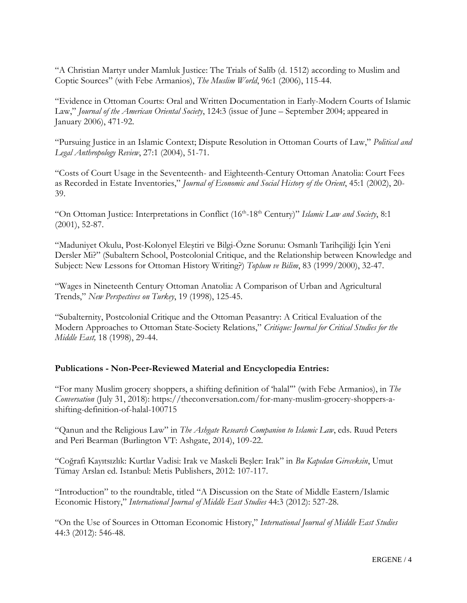"A Christian Martyr under Mamluk Justice: The Trials of Salīb (d. 1512) according to Muslim and Coptic Sources" (with Febe Armanios), *The Muslim World*, 96:1 (2006), 115-44.

"Evidence in Ottoman Courts: Oral and Written Documentation in Early-Modern Courts of Islamic Law," *Journal of the American Oriental Society*, 124:3 (issue of June – September 2004; appeared in January 2006), 471-92.

"Pursuing Justice in an Islamic Context; Dispute Resolution in Ottoman Courts of Law," *Political and Legal Anthropology Review*, 27:1 (2004), 51-71.

"Costs of Court Usage in the Seventeenth- and Eighteenth-Century Ottoman Anatolia: Court Fees as Recorded in Estate Inventories," *Journal of Economic and Social History of the Orient*, 45:1 (2002), 20- 39.

"On Ottoman Justice: Interpretations in Conflict (16<sup>th</sup>-18<sup>th</sup> Century)" Islamic Law and Society, 8:1 (2001), 52-87.

"Maduniyet Okulu, Post-Kolonyel Eleştiri ve Bilgi-Özne Sorunu: Osmanlı Tarihçiliği İçin Yeni Dersler Mi?" (Subaltern School, Postcolonial Critique, and the Relationship between Knowledge and Subject: New Lessons for Ottoman History Writing?) *Toplum ve Bilim*, 83 (1999/2000), 32-47.

"Wages in Nineteenth Century Ottoman Anatolia: A Comparison of Urban and Agricultural Trends," *New Perspectives on Turkey*, 19 (1998), 125-45.

"Subalternity, Postcolonial Critique and the Ottoman Peasantry: A Critical Evaluation of the Modern Approaches to Ottoman State-Society Relations," *Critique: Journal for Critical Studies for the Middle East,* 18 (1998), 29-44.

## **Publications - Non-Peer-Reviewed Material and Encyclopedia Entries:**

"For many Muslim grocery shoppers, a shifting definition of 'halal'" (with Febe Armanios), in *The Conversation* (July 31, 2018): https://theconversation.com/for-many-muslim-grocery-shoppers-ashifting-definition-of-halal-100715

"Qanun and the Religious Law" in *The Ashgate Research Companion to Islamic Law*, eds. Ruud Peters and Peri Bearman (Burlington VT: Ashgate, 2014), 109-22.

"Coğrafi Kayıtsızlık: Kurtlar Vadisi: Irak ve Maskeli Beşler: Irak" in *Bu Kapıdan Gireceksin*, Umut Tümay Arslan ed. Istanbul: Metis Publishers, 2012: 107-117.

"Introduction" to the roundtable, titled "A Discussion on the State of Middle Eastern/Islamic Economic History," *International Journal of Middle East Studies* 44:3 (2012): 527-28.

"On the Use of Sources in Ottoman Economic History," *International Journal of Middle East Studies* 44:3 (2012): 546-48.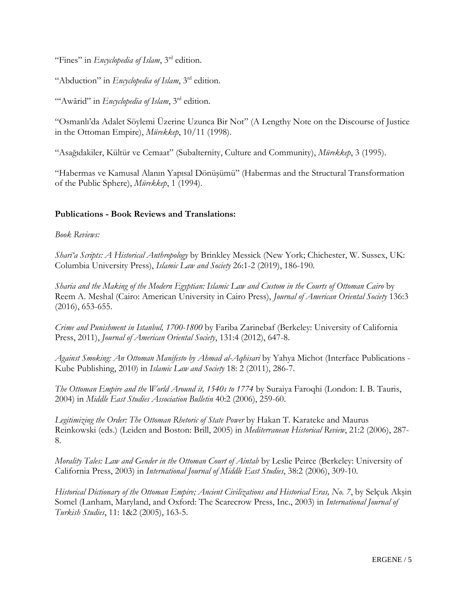"Fines" in *Encyclopedia of Islam*, 3rd edition.

"Abduction" in *Encyclopedia of Islam*, 3rd edition.

"'Awārid" in *Encyclopedia of Islam*, 3 rd edition.

"Osmanlı'da Adalet Söylemi Üzerine Uzunca Bir Not" (A Lengthy Note on the Discourse of Justice in the Ottoman Empire), *Mürekkep*, 10/11 (1998).

"Asağıdakiler, Kültür ve Cemaat" (Subalternity, Culture and Community), *Mürekkep*, 3 (1995).

"Habermas ve Kamusal Alanın Yapısal Dönüşümü" (Habermas and the Structural Transformation of the Public Sphere), *Mürekkep*, 1 (1994).

#### **Publications - Book Reviews and Translations:**

*Book Reviews:*

*Sharī'a Scripts: A Historical Anthropology* by Brinkley Messick (New York; Chichester, W. Sussex, UK: Columbia University Press), *Islamic Law and Society* 26:1-2 (2019), 186-190.

*Sharia and the Making of the Modern Egyptian: Islamic Law and Custom in the Courts of Ottoman Cairo* by Reem A. Meshal (Cairo: American University in Cairo Press), *Journal of American Oriental Society* 136:3 (2016), 653-655.

*Crime and Punishment in Istanbul, 1700-1800* by Fariba Zarinebaf (Berkeley: University of California Press, 2011), *Journal of American Oriental Society*, 131:4 (2012), 647-8.

*Against Smoking: An Ottoman Manifesto by Ahmad al-Aqhisari* by Yahya Michot (Interface Publications - Kube Publishing, 2010) in *Islamic Law and Society* 18: 2 (2011), 286-7.

*The Ottoman Empire and the World Around it, 1540s to 1774* by Suraiya Faroqhi (London: I. B. Tauris, 2004) in *Middle East Studies Association Bulletin* 40:2 (2006), 259-60.

*Legitimizing the Order: The Ottoman Rhetoric of State Power* by Hakan T. Karateke and Maurus Reinkowski (eds.) (Leiden and Boston: Brill, 2005) in *Mediterranean Historical Review*, 21:2 (2006), 287- 8.

*Morality Tales: Law and Gender in the Ottoman Court of Aintab* by Leslie Peirce (Berkeley: University of California Press, 2003) in *International Journal of Middle East Studies*, 38:2 (2006), 309-10.

*Historical Dictionary of the Ottoman Empire; Ancient Civilizations and Historical Eras, No. 7*, by Selçuk Akşin Somel (Lanham, Maryland, and Oxford: The Scarecrow Press, Inc., 2003) in *International Journal of Turkish Studies*, 11: 1&2 (2005), 163-5.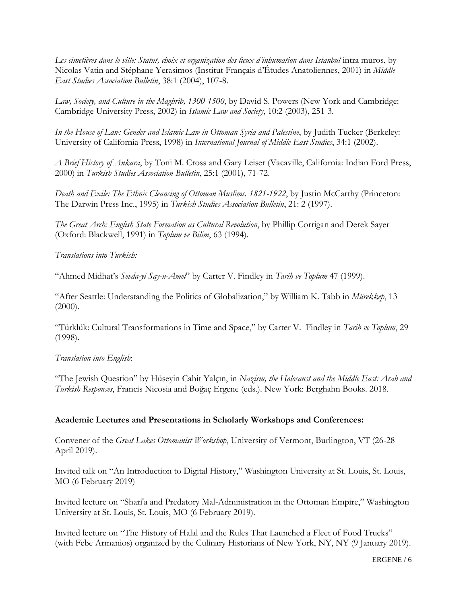Les cimetières dans le ville: Statut, choix et organization des lieux d'inhumation dans Istanbul intra muros, by Nicolas Vatin and Stéphane Yerasimos (Institut Français d'Études Anatoliennes, 2001) in *Middle East Studies Association Bulletin*, 38:1 (2004), 107-8.

*Law, Society, and Culture in the Maghrib, 1300-1500*, by David S. Powers (New York and Cambridge: Cambridge University Press, 2002) in *Islamic Law and Society*, 10:2 (2003), 251-3.

*In the House of Law: Gender and Islamic Law in Ottoman Syria and Palestine*, by Judith Tucker (Berkeley: University of California Press, 1998) in *International Journal of Middle East Studies*, 34:1 (2002).

*A Brief History of Ankara*, by Toni M. Cross and Gary Leiser (Vacaville, California: Indian Ford Press, 2000) in *Turkish Studies Association Bulletin*, 25:1 (2001), 71-72.

*Death and Exile: The Ethnic Cleansing of Ottoman Muslims. 1821-1922*, by Justin McCarthy (Princeton: The Darwin Press Inc., 1995) in *Turkish Studies Association Bulletin*, 21: 2 (1997).

*The Great Arch: English State Formation as Cultural Revolution*, by Phillip Corrigan and Derek Sayer (Oxford: Blackwell, 1991) in *Toplum ve Bilim*, 63 (1994).

#### *Translations into Turkish:*

"Ahmed Midhat's *Sevda-yi Say-u-Amel*" by Carter V. Findley in *Tarih ve Toplum* 47 (1999).

"After Seattle: Understanding the Politics of Globalization," by William K. Tabb in *Mürekkep*, 13  $(2000)$ .

"Türklük: Cultural Transformations in Time and Space," by Carter V. Findley in *Tarih ve Toplum*, 29 (1998).

## *Translation into English*:

"The Jewish Question" by Hüseyin Cahit Yalçın, in *Nazism, the Holocaust and the Middle East: Arab and Turkish Responses*, Francis Nicosia and Boğaç Ergene (eds.). New York: Berghahn Books. 2018.

#### **Academic Lectures and Presentations in Scholarly Workshops and Conferences:**

Convener of the *Great Lakes Ottomanist Workshop*, University of Vermont, Burlington, VT (26-28 April 2019).

Invited talk on "An Introduction to Digital History," Washington University at St. Louis, St. Louis, MO (6 February 2019)

Invited lecture on "Shari'a and Predatory Mal-Administration in the Ottoman Empire," Washington University at St. Louis, St. Louis, MO (6 February 2019).

Invited lecture on "The History of Halal and the Rules That Launched a Fleet of Food Trucks" (with Febe Armanios) organized by the Culinary Historians of New York, NY, NY (9 January 2019).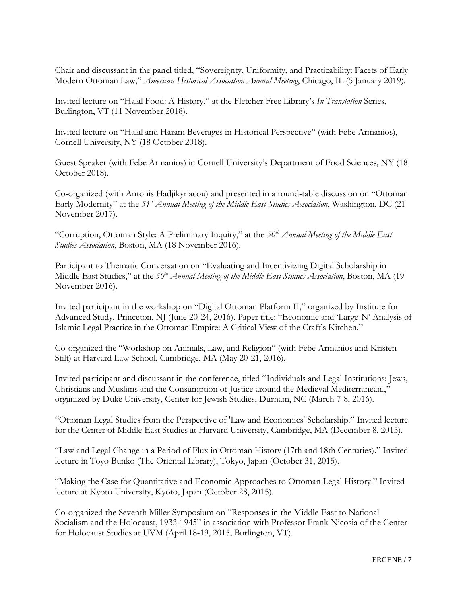Chair and discussant in the panel titled, "Sovereignty, Uniformity, and Practicability: Facets of Early Modern Ottoman Law," *American Historical Association Annual Meeting*, Chicago, IL (5 January 2019).

Invited lecture on "Halal Food: A History," at the Fletcher Free Library's *In Translation* Series, Burlington, VT (11 November 2018).

Invited lecture on "Halal and Haram Beverages in Historical Perspective" (with Febe Armanios), Cornell University, NY (18 October 2018).

Guest Speaker (with Febe Armanios) in Cornell University's Department of Food Sciences, NY (18 October 2018).

Co-organized (with Antonis Hadjikyriacou) and presented in a round-table discussion on "Ottoman Early Modernity" at the *51st Annual Meeting of the Middle East Studies Association*, Washington, DC (21 November 2017).

"Corruption, Ottoman Style: A Preliminary Inquiry," at the *50th Annual Meeting of the Middle East Studies Association*, Boston, MA (18 November 2016).

Participant to Thematic Conversation on "Evaluating and Incentivizing Digital Scholarship in Middle East Studies," at the *50th Annual Meeting of the Middle East Studies Association*, Boston, MA (19 November 2016).

Invited participant in the workshop on "Digital Ottoman Platform II," organized by Institute for Advanced Study, Princeton, NJ (June 20-24, 2016). Paper title: "Economic and 'Large-N' Analysis of Islamic Legal Practice in the Ottoman Empire: A Critical View of the Craft's Kitchen."

Co-organized the "Workshop on Animals, Law, and Religion" (with Febe Armanios and Kristen Stilt) at Harvard Law School, Cambridge, MA (May 20-21, 2016).

Invited participant and discussant in the conference, titled "Individuals and Legal Institutions: Jews, Christians and Muslims and the Consumption of Justice around the Medieval Mediterranean.," organized by Duke University, Center for Jewish Studies, Durham, NC (March 7-8, 2016).

"Ottoman Legal Studies from the Perspective of 'Law and Economics' Scholarship." Invited lecture for the Center of Middle East Studies at Harvard University, Cambridge, MA (December 8, 2015).

"Law and Legal Change in a Period of Flux in Ottoman History (17th and 18th Centuries)." Invited lecture in Toyo Bunko (The Oriental Library), Tokyo, Japan (October 31, 2015).

"Making the Case for Quantitative and Economic Approaches to Ottoman Legal History." Invited lecture at Kyoto University, Kyoto, Japan (October 28, 2015).

Co-organized the Seventh Miller Symposium on "Responses in the Middle East to National Socialism and the Holocaust, 1933-1945" in association with Professor Frank Nicosia of the Center for Holocaust Studies at UVM (April 18-19, 2015, Burlington, VT).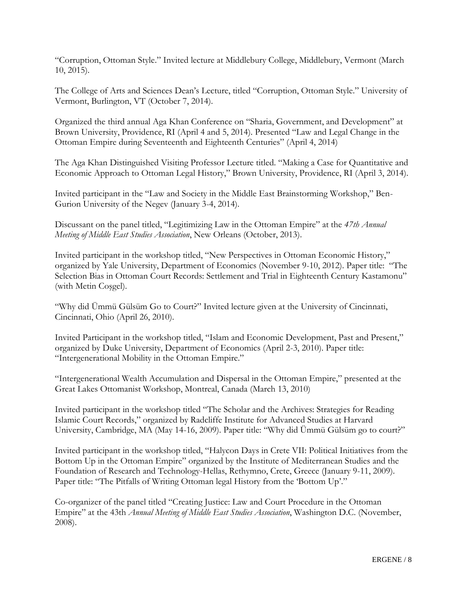"Corruption, Ottoman Style." Invited lecture at Middlebury College, Middlebury, Vermont (March 10, 2015).

The College of Arts and Sciences Dean's Lecture, titled "Corruption, Ottoman Style." University of Vermont, Burlington, VT (October 7, 2014).

Organized the third annual Aga Khan Conference on "Sharia, Government, and Development" at Brown University, Providence, RI (April 4 and 5, 2014). Presented "Law and Legal Change in the Ottoman Empire during Seventeenth and Eighteenth Centuries" (April 4, 2014)

The Aga Khan Distinguished Visiting Professor Lecture titled. "Making a Case for Quantitative and Economic Approach to Ottoman Legal History," Brown University, Providence, RI (April 3, 2014).

Invited participant in the "Law and Society in the Middle East Brainstorming Workshop," Ben-Gurion University of the Negev (January 3-4, 2014).

Discussant on the panel titled, "Legitimizing Law in the Ottoman Empire" at the *47th Annual Meeting of Middle East Studies Association*, New Orleans (October, 2013).

Invited participant in the workshop titled, "New Perspectives in Ottoman Economic History," organized by Yale University, Department of Economics (November 9-10, 2012). Paper title: "The Selection Bias in Ottoman Court Records: Settlement and Trial in Eighteenth Century Kastamonu" (with Metin Coşgel).

"Why did Ümmü Gülsüm Go to Court?" Invited lecture given at the University of Cincinnati, Cincinnati, Ohio (April 26, 2010).

Invited Participant in the workshop titled, "Islam and Economic Development, Past and Present," organized by Duke University, Department of Economics (April 2-3, 2010). Paper title: "Intergenerational Mobility in the Ottoman Empire."

"Intergenerational Wealth Accumulation and Dispersal in the Ottoman Empire," presented at the Great Lakes Ottomanist Workshop, Montreal, Canada (March 13, 2010)

Invited participant in the workshop titled "The Scholar and the Archives: Strategies for Reading Islamic Court Records," organized by Radcliffe Institute for Advanced Studies at Harvard University, Cambridge, MA (May 14-16, 2009). Paper title: "Why did Ümmü Gülsüm go to court?"

Invited participant in the workshop titled, "Halycon Days in Crete VII: Political Initiatives from the Bottom Up in the Ottoman Empire" organized by the Institute of Mediterranean Studies and the Foundation of Research and Technology-Hellas, Rethymno, Crete, Greece (January 9-11, 2009). Paper title: "The Pitfalls of Writing Ottoman legal History from the 'Bottom Up'."

Co-organizer of the panel titled "Creating Justice: Law and Court Procedure in the Ottoman Empire" at the 43th *Annual Meeting of Middle East Studies Association*, Washington D.C. (November, 2008).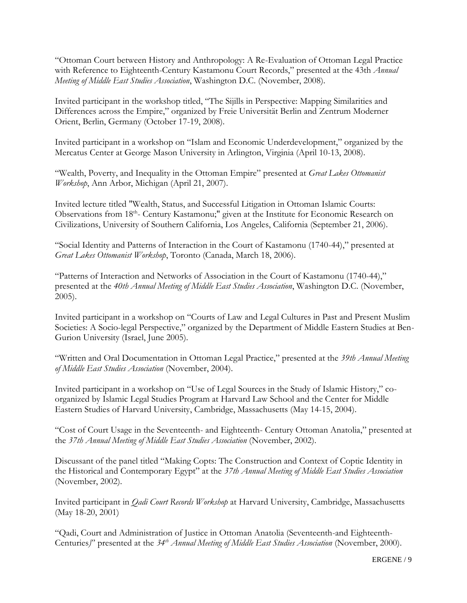"Ottoman Court between History and Anthropology: A Re-Evaluation of Ottoman Legal Practice with Reference to Eighteenth-Century Kastamonu Court Records," presented at the 43th *Annual Meeting of Middle East Studies Association*, Washington D.C. (November, 2008).

Invited participant in the workshop titled, "The Sijills in Perspective: Mapping Similarities and Differences across the Empire," organized by Freie Universität Berlin and Zentrum Moderner Orient, Berlin, Germany (October 17-19, 2008).

Invited participant in a workshop on "Islam and Economic Underdevelopment," organized by the Mercatus Center at George Mason University in Arlington, Virginia (April 10-13, 2008).

"Wealth, Poverty, and Inequality in the Ottoman Empire" presented at *Great Lakes Ottomanist Workshop*, Ann Arbor, Michigan (April 21, 2007).

Invited lecture titled "Wealth, Status, and Successful Litigation in Ottoman Islamic Courts: Observations from 18<sup>th</sup>- Century Kastamonu;" given at the Institute for Economic Research on Civilizations, University of Southern California, Los Angeles, California (September 21, 2006).

"Social Identity and Patterns of Interaction in the Court of Kastamonu (1740-44)," presented at *Great Lakes Ottomanist Workshop*, Toronto (Canada, March 18, 2006).

"Patterns of Interaction and Networks of Association in the Court of Kastamonu (1740-44)," presented at the *40th Annual Meeting of Middle East Studies Association*, Washington D.C. (November, 2005).

Invited participant in a workshop on "Courts of Law and Legal Cultures in Past and Present Muslim Societies: A Socio-legal Perspective," organized by the Department of Middle Eastern Studies at Ben-Gurion University (Israel, June 2005).

"Written and Oral Documentation in Ottoman Legal Practice," presented at the *39th Annual Meeting of Middle East Studies Association* (November, 2004).

Invited participant in a workshop on "Use of Legal Sources in the Study of Islamic History," coorganized by Islamic Legal Studies Program at Harvard Law School and the Center for Middle Eastern Studies of Harvard University, Cambridge, Massachusetts (May 14-15, 2004).

"Cost of Court Usage in the Seventeenth- and Eighteenth- Century Ottoman Anatolia," presented at the *37th Annual Meeting of Middle East Studies Association* (November, 2002).

Discussant of the panel titled "Making Copts: The Construction and Context of Coptic Identity in the Historical and Contemporary Egypt" at the *37th Annual Meeting of Middle East Studies Association* (November, 2002).

Invited participant in *Qadi Court Records Workshop* at Harvard University, Cambridge, Massachusetts (May 18-20, 2001)

"Qadi, Court and Administration of Justice in Ottoman Anatolia (Seventeenth-and Eighteenth-Centuries*)*" presented at the *34th Annual Meeting of Middle East Studies Association* (November, 2000).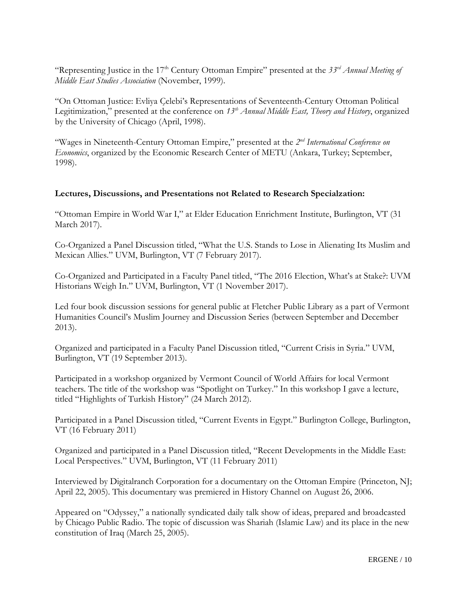"Representing Justice in the 17<sup>th</sup> Century Ottoman Empire" presented at the 33<sup>rd</sup> Annual Meeting of *Middle East Studies Association* (November, 1999).

"On Ottoman Justice: Evliya Çelebi's Representations of Seventeenth-Century Ottoman Political Legitimization," presented at the conference on *13th Annual Middle East, Theory and History*, organized by the University of Chicago (April, 1998).

"Wages in Nineteenth-Century Ottoman Empire," presented at the 2<sup>nd</sup> International Conference on *Economics*, organized by the Economic Research Center of METU (Ankara, Turkey; September, 1998).

#### **Lectures, Discussions, and Presentations not Related to Research Specialzation:**

"Ottoman Empire in World War I," at Elder Education Enrichment Institute, Burlington, VT (31 March 2017).

Co-Organized a Panel Discussion titled, "What the U.S. Stands to Lose in Alienating Its Muslim and Mexican Allies." UVM, Burlington, VT (7 February 2017).

Co-Organized and Participated in a Faculty Panel titled, "The 2016 Election, What's at Stake?: UVM Historians Weigh In." UVM, Burlington, VT (1 November 2017).

Led four book discussion sessions for general public at Fletcher Public Library as a part of Vermont Humanities Council's Muslim Journey and Discussion Series (between September and December 2013).

Organized and participated in a Faculty Panel Discussion titled, "Current Crisis in Syria." UVM, Burlington, VT (19 September 2013).

Participated in a workshop organized by Vermont Council of World Affairs for local Vermont teachers. The title of the workshop was "Spotlight on Turkey." In this workshop I gave a lecture, titled "Highlights of Turkish History" (24 March 2012).

Participated in a Panel Discussion titled, "Current Events in Egypt." Burlington College, Burlington, VT (16 February 2011)

Organized and participated in a Panel Discussion titled, "Recent Developments in the Middle East: Local Perspectives." UVM, Burlington, VT (11 February 2011)

Interviewed by Digitalranch Corporation for a documentary on the Ottoman Empire (Princeton, NJ; April 22, 2005). This documentary was premiered in History Channel on August 26, 2006.

Appeared on "Odyssey," a nationally syndicated daily talk show of ideas, prepared and broadcasted by Chicago Public Radio. The topic of discussion was Shariah (Islamic Law) and its place in the new constitution of Iraq (March 25, 2005).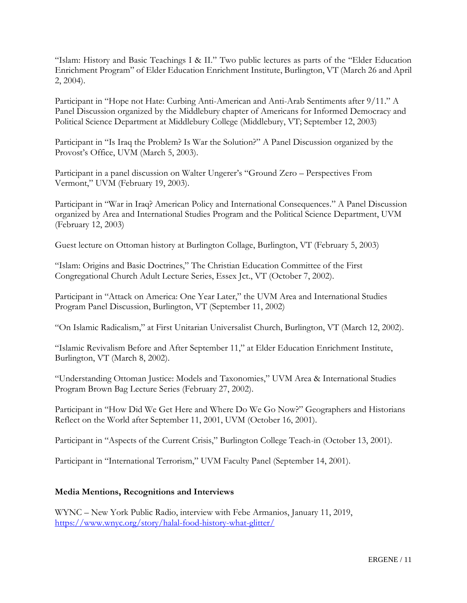"Islam: History and Basic Teachings I & II." Two public lectures as parts of the "Elder Education Enrichment Program" of Elder Education Enrichment Institute, Burlington, VT (March 26 and April 2, 2004).

Participant in "Hope not Hate: Curbing Anti-American and Anti-Arab Sentiments after 9/11." A Panel Discussion organized by the Middlebury chapter of Americans for Informed Democracy and Political Science Department at Middlebury College (Middlebury, VT; September 12, 2003)

Participant in "Is Iraq the Problem? Is War the Solution?" A Panel Discussion organized by the Provost's Office, UVM (March 5, 2003).

Participant in a panel discussion on Walter Ungerer's "Ground Zero – Perspectives From Vermont," UVM (February 19, 2003).

Participant in "War in Iraq? American Policy and International Consequences." A Panel Discussion organized by Area and International Studies Program and the Political Science Department, UVM (February 12, 2003)

Guest lecture on Ottoman history at Burlington Collage, Burlington, VT (February 5, 2003)

"Islam: Origins and Basic Doctrines," The Christian Education Committee of the First Congregational Church Adult Lecture Series, Essex Jct., VT (October 7, 2002).

Participant in "Attack on America: One Year Later," the UVM Area and International Studies Program Panel Discussion, Burlington, VT (September 11, 2002)

"On Islamic Radicalism," at First Unitarian Universalist Church, Burlington, VT (March 12, 2002).

"Islamic Revivalism Before and After September 11," at Elder Education Enrichment Institute, Burlington, VT (March 8, 2002).

"Understanding Ottoman Justice: Models and Taxonomies," UVM Area & International Studies Program Brown Bag Lecture Series (February 27, 2002).

Participant in "How Did We Get Here and Where Do We Go Now?" Geographers and Historians Reflect on the World after September 11, 2001, UVM (October 16, 2001).

Participant in "Aspects of the Current Crisis," Burlington College Teach-in (October 13, 2001).

Participant in "International Terrorism," UVM Faculty Panel (September 14, 2001).

#### **Media Mentions, Recognitions and Interviews**

WYNC – New York Public Radio, interview with Febe Armanios, January 11, 2019, <https://www.wnyc.org/story/halal-food-history-what-glitter/>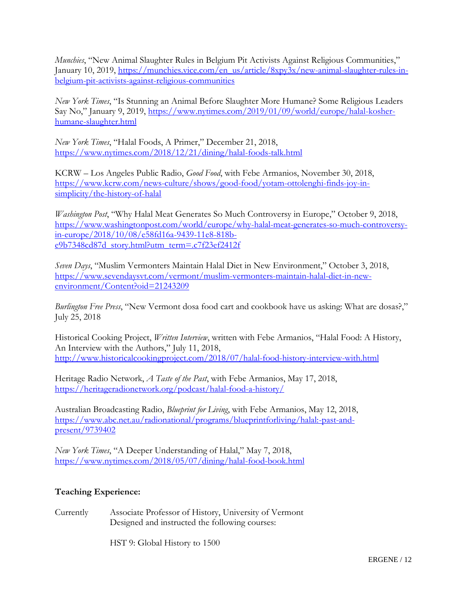*Munchies*, "New Animal Slaughter Rules in Belgium Pit Activists Against Religious Communities," January 10, 2019, [https://munchies.vice.com/en\\_us/article/8xpy3x/new-animal-slaughter-rules-in](https://munchies.vice.com/en_us/article/8xpy3x/new-animal-slaughter-rules-in-belgium-pit-activists-against-religious-communities)[belgium-pit-activists-against-religious-communities](https://munchies.vice.com/en_us/article/8xpy3x/new-animal-slaughter-rules-in-belgium-pit-activists-against-religious-communities)

*New York Times*, "Is Stunning an Animal Before Slaughter More Humane? Some Religious Leaders Say No," January 9, 2019, [https://www.nytimes.com/2019/01/09/world/europe/halal-kosher](https://www.nytimes.com/2019/01/09/world/europe/halal-kosher-humane-slaughter.html)[humane-slaughter.html](https://www.nytimes.com/2019/01/09/world/europe/halal-kosher-humane-slaughter.html)

*New York Times*, "Halal Foods, A Primer," December 21, 2018, [https://www.nytimes.com/2018/12/21/dining/halal-foods-talk.html](https://nam02.safelinks.protection.outlook.com/?url=https%3A%2F%2Fwww.nytimes.com%2F2018%2F12%2F21%2Fdining%2Fhalal-foods-talk.html&data=02%7C01%7Cfarmanios%40middlebury.edu%7C96b5c97aa47d494bac4508d6ae0e0743%7Ca1bb0a191576421dbe93b3a7d4b6dcaa%7C1%7C0%7C636887772611857691&sdata=Es%2Bhi%2BpojfvgR34ivnjTdoaWjx6wFV0dRUS9Hcp5Cdg%3D&reserved=0)

KCRW – Los Angeles Public Radio, *Good Food*, with Febe Armanios, November 30, 2018, [https://www.kcrw.com/news-culture/shows/good-food/yotam-ottolenghi-finds-joy-in](https://nam02.safelinks.protection.outlook.com/?url=https%3A%2F%2Fwww.kcrw.com%2Fnews-culture%2Fshows%2Fgood-food%2Fyotam-ottolenghi-finds-joy-in-simplicity%2Fthe-history-of-halal&data=02%7C01%7Cfarmanios%40middlebury.edu%7C96b5c97aa47d494bac4508d6ae0e0743%7Ca1bb0a191576421dbe93b3a7d4b6dcaa%7C1%7C0%7C636887772611827666&sdata=RRZYgC4C0QCYdrxVrrGdZu2hoXRanchVX9HRmCCzB5E%3D&reserved=0)[simplicity/the-history-of-halal](https://nam02.safelinks.protection.outlook.com/?url=https%3A%2F%2Fwww.kcrw.com%2Fnews-culture%2Fshows%2Fgood-food%2Fyotam-ottolenghi-finds-joy-in-simplicity%2Fthe-history-of-halal&data=02%7C01%7Cfarmanios%40middlebury.edu%7C96b5c97aa47d494bac4508d6ae0e0743%7Ca1bb0a191576421dbe93b3a7d4b6dcaa%7C1%7C0%7C636887772611827666&sdata=RRZYgC4C0QCYdrxVrrGdZu2hoXRanchVX9HRmCCzB5E%3D&reserved=0)

*Washington Post*, "Why Halal Meat Generates So Much Controversy in Europe," October 9, 2018, [https://www.washingtonpost.com/world/europe/why-halal-meat-generates-so-much-controversy](https://nam02.safelinks.protection.outlook.com/?url=https%3A%2F%2Fwww.washingtonpost.com%2Fworld%2Feurope%2Fwhy-halal-meat-generates-so-much-controversy-in-europe%2F2018%2F10%2F08%2Fe58fd16a-9439-11e8-818b-e9b7348cd87d_story.html%3Futm_term%3D.c7f23ef2412f&data=02%7C01%7Cfarmanios%40middlebury.edu%7C96b5c97aa47d494bac4508d6ae0e0743%7Ca1bb0a191576421dbe93b3a7d4b6dcaa%7C1%7C0%7C636887772611837670&sdata=X1xAKgIElbEufbyEpWsLgKT66iBZi7hxzNt%2B4gXvgME%3D&reserved=0)[in-europe/2018/10/08/e58fd16a-9439-11e8-818b](https://nam02.safelinks.protection.outlook.com/?url=https%3A%2F%2Fwww.washingtonpost.com%2Fworld%2Feurope%2Fwhy-halal-meat-generates-so-much-controversy-in-europe%2F2018%2F10%2F08%2Fe58fd16a-9439-11e8-818b-e9b7348cd87d_story.html%3Futm_term%3D.c7f23ef2412f&data=02%7C01%7Cfarmanios%40middlebury.edu%7C96b5c97aa47d494bac4508d6ae0e0743%7Ca1bb0a191576421dbe93b3a7d4b6dcaa%7C1%7C0%7C636887772611837670&sdata=X1xAKgIElbEufbyEpWsLgKT66iBZi7hxzNt%2B4gXvgME%3D&reserved=0)[e9b7348cd87d\\_story.html?utm\\_term=.c7f23ef2412f](https://nam02.safelinks.protection.outlook.com/?url=https%3A%2F%2Fwww.washingtonpost.com%2Fworld%2Feurope%2Fwhy-halal-meat-generates-so-much-controversy-in-europe%2F2018%2F10%2F08%2Fe58fd16a-9439-11e8-818b-e9b7348cd87d_story.html%3Futm_term%3D.c7f23ef2412f&data=02%7C01%7Cfarmanios%40middlebury.edu%7C96b5c97aa47d494bac4508d6ae0e0743%7Ca1bb0a191576421dbe93b3a7d4b6dcaa%7C1%7C0%7C636887772611837670&sdata=X1xAKgIElbEufbyEpWsLgKT66iBZi7hxzNt%2B4gXvgME%3D&reserved=0)

*Seven Days*, "Muslim Vermonters Maintain Halal Diet in New Environment," October 3, 2018, [https://www.sevendaysvt.com/vermont/muslim-vermonters-maintain-halal-diet-in-new](https://nam02.safelinks.protection.outlook.com/?url=https%3A%2F%2Fwww.sevendaysvt.com%2Fvermont%2Fmuslim-vermonters-maintain-halal-diet-in-new-environment%2FContent%3Foid%3D21243209&data=02%7C01%7Cfarmanios%40middlebury.edu%7C96b5c97aa47d494bac4508d6ae0e0743%7Ca1bb0a191576421dbe93b3a7d4b6dcaa%7C1%7C0%7C636887772611847674&sdata=YW266CNc202jq98n0MYCeMzUv7hC3vXjOcKPpeHrSko%3D&reserved=0)[environment/Content?oid=21243209](https://nam02.safelinks.protection.outlook.com/?url=https%3A%2F%2Fwww.sevendaysvt.com%2Fvermont%2Fmuslim-vermonters-maintain-halal-diet-in-new-environment%2FContent%3Foid%3D21243209&data=02%7C01%7Cfarmanios%40middlebury.edu%7C96b5c97aa47d494bac4508d6ae0e0743%7Ca1bb0a191576421dbe93b3a7d4b6dcaa%7C1%7C0%7C636887772611847674&sdata=YW266CNc202jq98n0MYCeMzUv7hC3vXjOcKPpeHrSko%3D&reserved=0)

*Burlington Free Press*, "New Vermont dosa food cart and cookbook have us asking: What are dosas?," July 25, 2018

Historical Cooking Project, *Written Interview*, written with Febe Armanios, "Halal Food: A History, An Interview with the Authors," July 11, 2018, [http://www.historicalcookingproject.com/2018/07/halal-food-history-interview-with.html](https://nam02.safelinks.protection.outlook.com/?url=http%3A%2F%2Fwww.historicalcookingproject.com%2F2018%2F07%2Fhalal-food-history-interview-with.html&data=02%7C01%7Cfarmanios%40middlebury.edu%7C96b5c97aa47d494bac4508d6ae0e0743%7Ca1bb0a191576421dbe93b3a7d4b6dcaa%7C1%7C0%7C636887772611827666&sdata=zmrRQr1apxrau5YMgIXNRC27mFKpXiYtGucJwz%2BG1sw%3D&reserved=0)

Heritage Radio Network, *A Taste of the Past*, with Febe Armanios, May 17, 2018, [https://heritageradionetwork.org/podcast/halal-food-a-history/](https://nam02.safelinks.protection.outlook.com/?url=https%3A%2F%2Fheritageradionetwork.org%2Fpodcast%2Fhalal-food-a-history%2F&data=02%7C01%7Cfarmanios%40middlebury.edu%7C96b5c97aa47d494bac4508d6ae0e0743%7Ca1bb0a191576421dbe93b3a7d4b6dcaa%7C1%7C0%7C636887772611817657&sdata=yUAuAbsu89KAygzqRYERcuWjAIV20f0j5ASigrlNBTs%3D&reserved=0)

Australian Broadcasting Radio, *Blueprint for Living*, with Febe Armanios, May 12, 2018, [https://www.abc.net.au/radionational/programs/blueprintforliving/halal:-past-and](https://nam02.safelinks.protection.outlook.com/?url=https%3A%2F%2Fwww.abc.net.au%2Fradionational%2Fprograms%2Fblueprintforliving%2Fhalal%3A-past-and-present%2F9739402&data=02%7C01%7Cfarmanios%40middlebury.edu%7C96b5c97aa47d494bac4508d6ae0e0743%7Ca1bb0a191576421dbe93b3a7d4b6dcaa%7C1%7C0%7C636887772611807649&sdata=pnZYvjojP1TMrcxfbrPjcqzuYKYhOa8PA5iyFEBShNM%3D&reserved=0)[present/9739402](https://nam02.safelinks.protection.outlook.com/?url=https%3A%2F%2Fwww.abc.net.au%2Fradionational%2Fprograms%2Fblueprintforliving%2Fhalal%3A-past-and-present%2F9739402&data=02%7C01%7Cfarmanios%40middlebury.edu%7C96b5c97aa47d494bac4508d6ae0e0743%7Ca1bb0a191576421dbe93b3a7d4b6dcaa%7C1%7C0%7C636887772611807649&sdata=pnZYvjojP1TMrcxfbrPjcqzuYKYhOa8PA5iyFEBShNM%3D&reserved=0)

*New York Times*, "A Deeper Understanding of Halal," May 7, 2018, [https://www.nytimes.com/2018/05/07/dining/halal-food-book.html](https://nam02.safelinks.protection.outlook.com/?url=https%3A%2F%2Fwww.nytimes.com%2F2018%2F05%2F07%2Fdining%2Fhalal-food-book.html&data=02%7C01%7Cfarmanios%40middlebury.edu%7C96b5c97aa47d494bac4508d6ae0e0743%7Ca1bb0a191576421dbe93b3a7d4b6dcaa%7C1%7C0%7C636887772611857691&sdata=0p2QdiBlsbCNYMQ%2FHQI0ahXUlbprrGXGz41ocghD%2BT8%3D&reserved=0)

## **Teaching Experience:**

Currently Associate Professor of History, University of Vermont Designed and instructed the following courses:

HST 9: Global History to 1500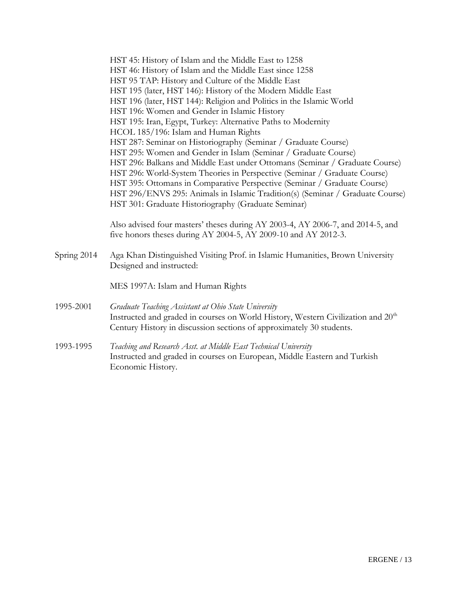|             | HST 45: History of Islam and the Middle East to 1258                                                                                                                 |
|-------------|----------------------------------------------------------------------------------------------------------------------------------------------------------------------|
|             | HST 46: History of Islam and the Middle East since 1258                                                                                                              |
|             | HST 95 TAP: History and Culture of the Middle East                                                                                                                   |
|             | HST 195 (later, HST 146): History of the Modern Middle East                                                                                                          |
|             | HST 196 (later, HST 144): Religion and Politics in the Islamic World                                                                                                 |
|             | HST 196: Women and Gender in Islamic History                                                                                                                         |
|             | HST 195: Iran, Egypt, Turkey: Alternative Paths to Modernity                                                                                                         |
|             | HCOL 185/196: Islam and Human Rights                                                                                                                                 |
|             | HST 287: Seminar on Historiography (Seminar / Graduate Course)                                                                                                       |
|             | HST 295: Women and Gender in Islam (Seminar / Graduate Course)                                                                                                       |
|             | HST 296: Balkans and Middle East under Ottomans (Seminar / Graduate Course)                                                                                          |
|             | HST 296: World-System Theories in Perspective (Seminar / Graduate Course)                                                                                            |
|             | HST 395: Ottomans in Comparative Perspective (Seminar / Graduate Course)                                                                                             |
|             | HST 296/ENVS 295: Animals in Islamic Tradition(s) (Seminar / Graduate Course)                                                                                        |
|             | HST 301: Graduate Historiography (Graduate Seminar)                                                                                                                  |
|             | Also advised four masters' theses during AY 2003-4, AY 2006-7, and 2014-5, and<br>five honors theses during AY 2004-5, AY 2009-10 and AY 2012-3.                     |
| Spring 2014 | Aga Khan Distinguished Visiting Prof. in Islamic Humanities, Brown University<br>Designed and instructed:                                                            |
|             | MES 1997A: Islam and Human Rights                                                                                                                                    |
| 1995-2001   | Graduate Teaching Assistant at Ohio State University                                                                                                                 |
|             | Instructed and graded in courses on World History, Western Civilization and 20 <sup>th</sup><br>Century History in discussion sections of approximately 30 students. |
| 1993-1995   | Teaching and Research Asst. at Middle East Technical University                                                                                                      |
|             | Instructed and graded in courses on European, Middle Eastern and Turkish<br>Economic History.                                                                        |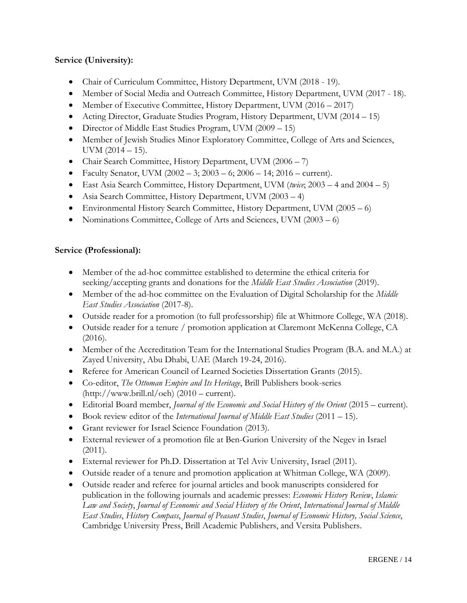## **Service (University):**

- Chair of Curriculum Committee, History Department, UVM (2018 19).
- Member of Social Media and Outreach Committee, History Department, UVM (2017 18).
- Member of Executive Committee, History Department, UVM (2016 2017)
- Acting Director, Graduate Studies Program, History Department, UVM (2014 15)
- Director of Middle East Studies Program, UVM (2009 15)
- Member of Jewish Studies Minor Exploratory Committee, College of Arts and Sciences, UVM  $(2014 - 15)$ .
- Chair Search Committee, History Department, UVM (2006 7)
- Faculty Senator, UVM  $(2002 3; 2003 6; 2006 14; 2016 current)$ .
- East Asia Search Committee, History Department, UVM (*twice*; 2003 4 and 2004 5)
- Asia Search Committee, History Department, UVM (2003 4)
- Environmental History Search Committee, History Department, UVM (2005 6)
- Nominations Committee, College of Arts and Sciences, UVM (2003 6)

#### **Service (Professional):**

- Member of the ad-hoc committee established to determine the ethical criteria for seeking/accepting grants and donations for the *Middle East Studies Association* (2019).
- Member of the ad-hoc committee on the Evaluation of Digital Scholarship for the *Middle East Studies Association* (2017-8).
- Outside reader for a promotion (to full professorship) file at Whitmore College, WA (2018).
- Outside reader for a tenure / promotion application at Claremont McKenna College, CA (2016).
- Member of the Accreditation Team for the International Studies Program (B.A. and M.A.) at Zayed University, Abu Dhabi, UAE (March 19-24, 2016).
- Referee for American Council of Learned Societies Dissertation Grants (2015).
- Co-editor, *The Ottoman Empire and Its Heritage*, Brill Publishers book-series (http://www.brill.nl/oeh) (2010 – current).
- Editorial Board member, *Journal of the Economic and Social History of the Orient* (2015 current)*.*
- Book review editor of the *International Journal of Middle East Studies* (2011 15).
- Grant reviewer for Israel Science Foundation (2013).
- External reviewer of a promotion file at Ben-Gurion University of the Negev in Israel  $(2011).$
- External reviewer for Ph.D. Dissertation at Tel Aviv University, Israel (2011).
- Outside reader of a tenure and promotion application at Whitman College, WA (2009).
- Outside reader and referee for journal articles and book manuscripts considered for publication in the following journals and academic presses: *Economic History Review*, *Islamic Law and Society*, *Journal of Economic and Social History of the Orient*, *International Journal of Middle East Studies*, *History Compass*, *Journal of Peasant Studies*, *Journal of Economic History, Social Science*, Cambridge University Press, Brill Academic Publishers, and Versita Publishers.